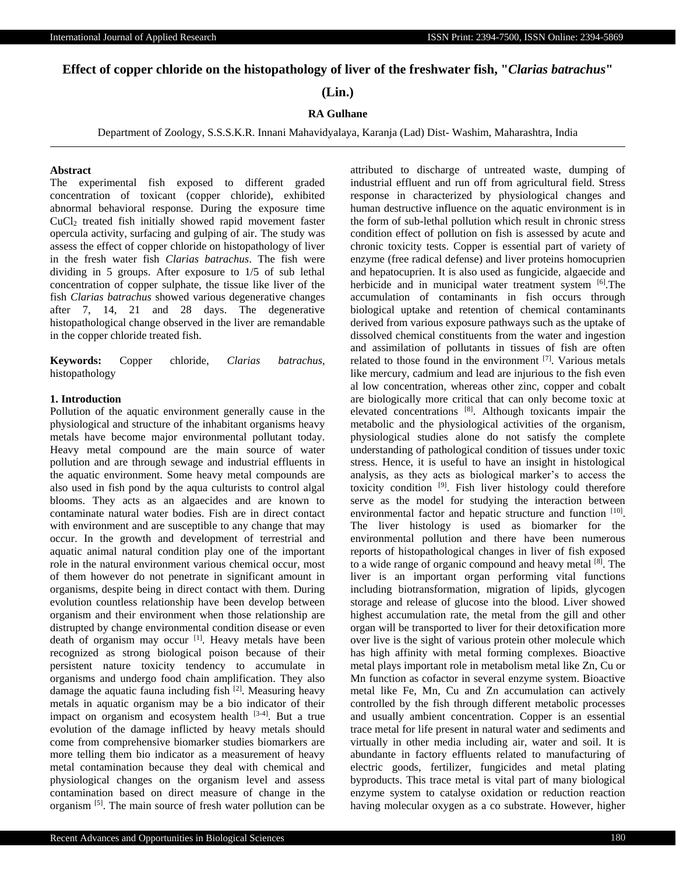**Effect of copper chloride on the histopathology of liver of the freshwater fish, "***Clarias batrachus***"**

**(Lin.)**

### **RA Gulhane**

Department of Zoology, S.S.S.K.R. Innani Mahavidyalaya, Karanja (Lad) Dist- Washim, Maharashtra, India

# **Abstract**

The experimental fish exposed to different graded concentration of toxicant (copper chloride), exhibited abnormal behavioral response. During the exposure time CuCl<sup>2</sup> treated fish initially showed rapid movement faster opercula activity, surfacing and gulping of air. The study was assess the effect of copper chloride on histopathology of liver in the fresh water fish *Clarias batrachus*. The fish were dividing in 5 groups. After exposure to 1/5 of sub lethal concentration of copper sulphate, the tissue like liver of the fish *Clarias batrachus* showed various degenerative changes after 7, 14, 21 and 28 days. The degenerative histopathological change observed in the liver are remandable in the copper chloride treated fish.

**Keywords:** Copper chloride, *Clarias batrachus*, histopathology

# **1. Introduction**

Pollution of the aquatic environment generally cause in the physiological and structure of the inhabitant organisms heavy metals have become major environmental pollutant today. Heavy metal compound are the main source of water pollution and are through sewage and industrial effluents in the aquatic environment. Some heavy metal compounds are also used in fish pond by the aqua culturists to control algal blooms. They acts as an algaecides and are known to contaminate natural water bodies. Fish are in direct contact with environment and are susceptible to any change that may occur. In the growth and development of terrestrial and aquatic animal natural condition play one of the important role in the natural environment various chemical occur, most of them however do not penetrate in significant amount in organisms, despite being in direct contact with them. During evolution countless relationship have been develop between organism and their environment when those relationship are distrupted by change environmental condition disease or even death of organism may occur [1]. Heavy metals have been recognized as strong biological poison because of their persistent nature toxicity tendency to accumulate in organisms and undergo food chain amplification. They also damage the aquatic fauna including fish [2]. Measuring heavy metals in aquatic organism may be a bio indicator of their impact on organism and ecosystem health  $[3-4]$ . But a true evolution of the damage inflicted by heavy metals should come from comprehensive biomarker studies biomarkers are more telling them bio indicator as a measurement of heavy metal contamination because they deal with chemical and physiological changes on the organism level and assess contamination based on direct measure of change in the organism <sup>[5]</sup>. The main source of fresh water pollution can be

attributed to discharge of untreated waste, dumping of industrial effluent and run off from agricultural field. Stress response in characterized by physiological changes and human destructive influence on the aquatic environment is in the form of sub-lethal pollution which result in chronic stress condition effect of pollution on fish is assessed by acute and chronic toxicity tests. Copper is essential part of variety of enzyme (free radical defense) and liver proteins homocuprien and hepatocuprien. It is also used as fungicide, algaecide and herbicide and in municipal water treatment system [6]. The accumulation of contaminants in fish occurs through biological uptake and retention of chemical contaminants derived from various exposure pathways such as the uptake of dissolved chemical constituents from the water and ingestion and assimilation of pollutants in tissues of fish are often related to those found in the environment [7]. Various metals like mercury, cadmium and lead are injurious to the fish even al low concentration, whereas other zinc, copper and cobalt are biologically more critical that can only become toxic at elevated concentrations [8]. Although toxicants impair the metabolic and the physiological activities of the organism, physiological studies alone do not satisfy the complete understanding of pathological condition of tissues under toxic stress. Hence, it is useful to have an insight in histological analysis, as they acts as biological marker's to access the toxicity condition  $[9]$ . Fish liver histology could therefore serve as the model for studying the interaction between environmental factor and hepatic structure and function [10]. The liver histology is used as biomarker for the environmental pollution and there have been numerous reports of histopathological changes in liver of fish exposed to a wide range of organic compound and heavy metal [8]. The liver is an important organ performing vital functions including biotransformation, migration of lipids, glycogen storage and release of glucose into the blood. Liver showed highest accumulation rate, the metal from the gill and other organ will be transported to liver for their detoxification more over live is the sight of various protein other molecule which has high affinity with metal forming complexes. Bioactive metal plays important role in metabolism metal like Zn, Cu or Mn function as cofactor in several enzyme system. Bioactive metal like Fe, Mn, Cu and Zn accumulation can actively controlled by the fish through different metabolic processes and usually ambient concentration. Copper is an essential trace metal for life present in natural water and sediments and virtually in other media including air, water and soil. It is abundante in factory effluents related to manufacturing of electric goods, fertilizer, fungicides and metal plating byproducts. This trace metal is vital part of many biological enzyme system to catalyse oxidation or reduction reaction having molecular oxygen as a co substrate. However, higher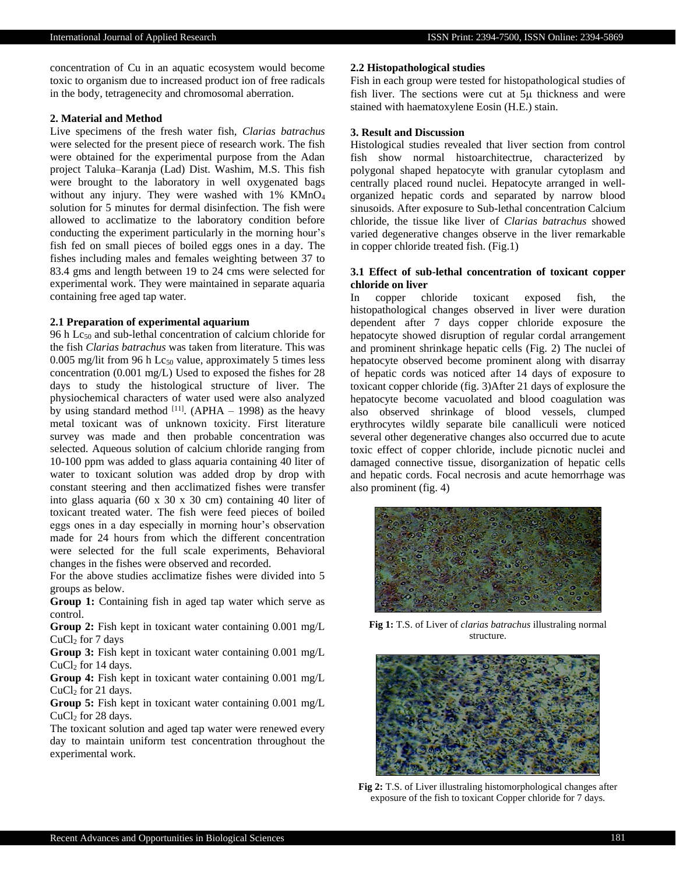concentration of Cu in an aquatic ecosystem would become toxic to organism due to increased product ion of free radicals in the body, tetragenecity and chromosomal aberration.

#### **2. Material and Method**

Live specimens of the fresh water fish, *Clarias batrachus* were selected for the present piece of research work. The fish were obtained for the experimental purpose from the Adan project Taluka–Karanja (Lad) Dist. Washim, M.S. This fish were brought to the laboratory in well oxygenated bags without any injury. They were washed with 1% KMnO<sub>4</sub> solution for 5 minutes for dermal disinfection. The fish were allowed to acclimatize to the laboratory condition before conducting the experiment particularly in the morning hour's fish fed on small pieces of boiled eggs ones in a day. The fishes including males and females weighting between 37 to 83.4 gms and length between 19 to 24 cms were selected for experimental work. They were maintained in separate aquaria containing free aged tap water.

## **2.1 Preparation of experimental aquarium**

96 h Lc<sup>50</sup> and sub-lethal concentration of calcium chloride for the fish *Clarias batrachus* was taken from literature. This was 0.005 mg/lit from 96 h  $Lc_{50}$  value, approximately 5 times less concentration (0.001 mg/L) Used to exposed the fishes for 28 days to study the histological structure of liver. The physiochemical characters of water used were also analyzed by using standard method  $^{[11]}$ . (APHA – 1998) as the heavy metal toxicant was of unknown toxicity. First literature survey was made and then probable concentration was selected. Aqueous solution of calcium chloride ranging from 10-100 ppm was added to glass aquaria containing 40 liter of water to toxicant solution was added drop by drop with constant steering and then acclimatized fishes were transfer into glass aquaria (60 x 30 x 30 cm) containing 40 liter of toxicant treated water. The fish were feed pieces of boiled eggs ones in a day especially in morning hour's observation made for 24 hours from which the different concentration were selected for the full scale experiments, Behavioral changes in the fishes were observed and recorded.

For the above studies acclimatize fishes were divided into 5 groups as below.

**Group 1:** Containing fish in aged tap water which serve as control.

**Group 2:** Fish kept in toxicant water containing 0.001 mg/L  $CuCl<sub>2</sub>$  for 7 days

**Group 3:** Fish kept in toxicant water containing 0.001 mg/L  $CuCl<sub>2</sub>$  for 14 days.

**Group 4:** Fish kept in toxicant water containing 0.001 mg/L CuCl<sub>2</sub> for 21 days.

**Group 5:** Fish kept in toxicant water containing 0.001 mg/L CuCl<sub>2</sub> for 28 days.

The toxicant solution and aged tap water were renewed every day to maintain uniform test concentration throughout the experimental work.

#### **2.2 Histopathological studies**

Fish in each group were tested for histopathological studies of fish liver. The sections were cut at  $5\mu$  thickness and were stained with haematoxylene Eosin (H.E.) stain.

# **3. Result and Discussion**

Histological studies revealed that liver section from control fish show normal histoarchitectrue, characterized by polygonal shaped hepatocyte with granular cytoplasm and centrally placed round nuclei. Hepatocyte arranged in wellorganized hepatic cords and separated by narrow blood sinusoids. After exposure to Sub-lethal concentration Calcium chloride, the tissue like liver of *Clarias batrachus* showed varied degenerative changes observe in the liver remarkable in copper chloride treated fish. (Fig.1)

# **3.1 Effect of sub-lethal concentration of toxicant copper chloride on liver**

In copper chloride toxicant exposed fish, the histopathological changes observed in liver were duration dependent after 7 days copper chloride exposure the hepatocyte showed disruption of regular cordal arrangement and prominent shrinkage hepatic cells (Fig. 2) The nuclei of hepatocyte observed become prominent along with disarray of hepatic cords was noticed after 14 days of exposure to toxicant copper chloride (fig. 3)After 21 days of explosure the hepatocyte become vacuolated and blood coagulation was also observed shrinkage of blood vessels, clumped erythrocytes wildly separate bile canalliculi were noticed several other degenerative changes also occurred due to acute toxic effect of copper chloride, include picnotic nuclei and damaged connective tissue, disorganization of hepatic cells and hepatic cords. Focal necrosis and acute hemorrhage was also prominent (fig. 4)



**Fig 1:** T.S. of Liver of *clarias batrachus* illustraling normal structure.



**Fig 2:** T.S. of Liver illustraling histomorphological changes after exposure of the fish to toxicant Copper chloride for 7 days.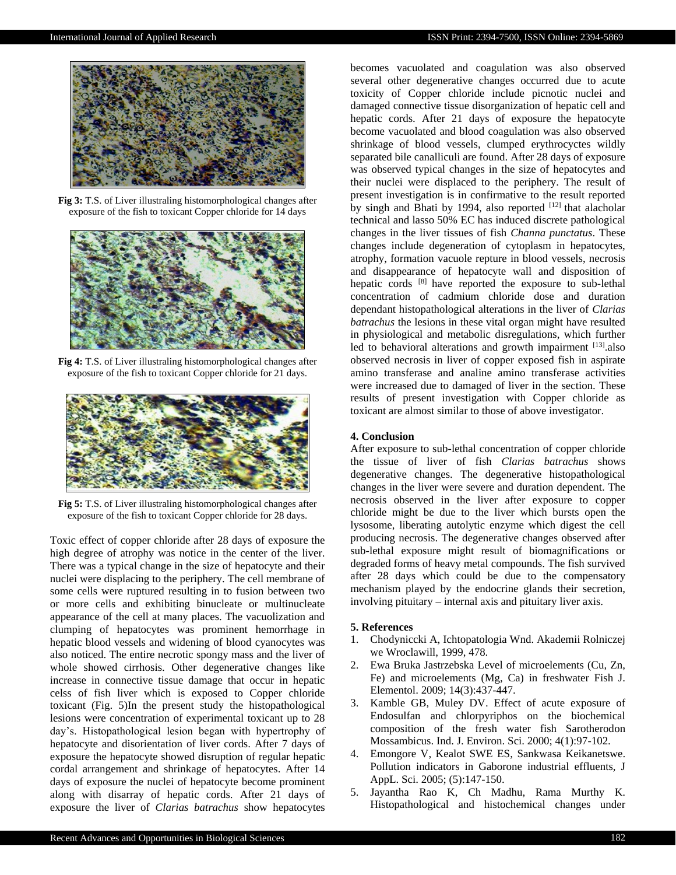

**Fig 3:** T.S. of Liver illustraling histomorphological changes after exposure of the fish to toxicant Copper chloride for 14 days



**Fig 4:** T.S. of Liver illustraling histomorphological changes after exposure of the fish to toxicant Copper chloride for 21 days.



**Fig 5:** T.S. of Liver illustraling histomorphological changes after exposure of the fish to toxicant Copper chloride for 28 days.

Toxic effect of copper chloride after 28 days of exposure the high degree of atrophy was notice in the center of the liver. There was a typical change in the size of hepatocyte and their nuclei were displacing to the periphery. The cell membrane of some cells were ruptured resulting in to fusion between two or more cells and exhibiting binucleate or multinucleate appearance of the cell at many places. The vacuolization and clumping of hepatocytes was prominent hemorrhage in hepatic blood vessels and widening of blood cyanocytes was also noticed. The entire necrotic spongy mass and the liver of whole showed cirrhosis. Other degenerative changes like increase in connective tissue damage that occur in hepatic celss of fish liver which is exposed to Copper chloride toxicant (Fig. 5)In the present study the histopathological lesions were concentration of experimental toxicant up to 28 day's. Histopathological lesion began with hypertrophy of hepatocyte and disorientation of liver cords. After 7 days of exposure the hepatocyte showed disruption of regular hepatic cordal arrangement and shrinkage of hepatocytes. After 14 days of exposure the nuclei of hepatocyte become prominent along with disarray of hepatic cords. After 21 days of exposure the liver of *Clarias batrachus* show hepatocytes

becomes vacuolated and coagulation was also observed several other degenerative changes occurred due to acute toxicity of Copper chloride include picnotic nuclei and damaged connective tissue disorganization of hepatic cell and hepatic cords. After 21 days of exposure the hepatocyte become vacuolated and blood coagulation was also observed shrinkage of blood vessels, clumped erythrocyctes wildly separated bile canalliculi are found. After 28 days of exposure was observed typical changes in the size of hepatocytes and their nuclei were displaced to the periphery. The result of present investigation is in confirmative to the result reported by singh and Bhati by 1994, also reported  $[12]$  that alacholar technical and lasso 50% EC has induced discrete pathological changes in the liver tissues of fish *Channa punctatus*. These changes include degeneration of cytoplasm in hepatocytes, atrophy, formation vacuole repture in blood vessels, necrosis and disappearance of hepatocyte wall and disposition of hepatic cords [8] have reported the exposure to sub-lethal concentration of cadmium chloride dose and duration dependant histopathological alterations in the liver of *Clarias batrachus* the lesions in these vital organ might have resulted in physiological and metabolic disregulations, which further led to behavioral alterations and growth impairment [13] also observed necrosis in liver of copper exposed fish in aspirate amino transferase and analine amino transferase activities were increased due to damaged of liver in the section. These results of present investigation with Copper chloride as toxicant are almost similar to those of above investigator.

# **4. Conclusion**

After exposure to sub-lethal concentration of copper chloride the tissue of liver of fish *Clarias batrachus* shows degenerative changes. The degenerative histopathological changes in the liver were severe and duration dependent. The necrosis observed in the liver after exposure to copper chloride might be due to the liver which bursts open the lysosome, liberating autolytic enzyme which digest the cell producing necrosis. The degenerative changes observed after sub-lethal exposure might result of biomagnifications or degraded forms of heavy metal compounds. The fish survived after 28 days which could be due to the compensatory mechanism played by the endocrine glands their secretion, involving pituitary – internal axis and pituitary liver axis.

# **5. References**

- 1. Chodyniccki A, Ichtopatologia Wnd. Akademii Rolniczej we Wroclawill, 1999, 478.
- 2. Ewa Bruka Jastrzebska Level of microelements (Cu, Zn, Fe) and microelements (Mg, Ca) in freshwater Fish J. Elementol. 2009; 14(3):437-447.
- 3. Kamble GB, Muley DV. Effect of acute exposure of Endosulfan and chlorpyriphos on the biochemical composition of the fresh water fish Sarotherodon Mossambicus. Ind. J. Environ. Sci. 2000; 4(1):97-102.
- 4. Emongore V, Kealot SWE ES, Sankwasa Keikanetswe. Pollution indicators in Gaborone industrial effluents, J AppL. Sci. 2005; (5):147-150.
- 5. Jayantha Rao K, Ch Madhu, Rama Murthy K. Histopathological and histochemical changes under